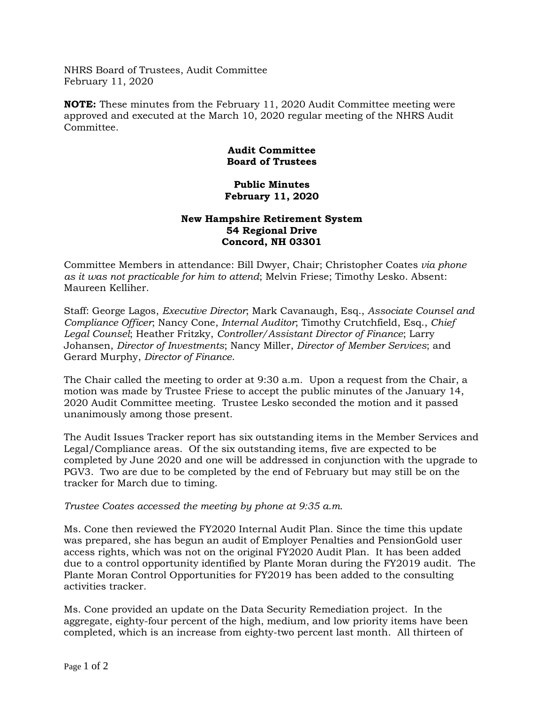NHRS Board of Trustees, Audit Committee February 11, 2020

**NOTE:** These minutes from the February 11, 2020 Audit Committee meeting were approved and executed at the March 10, 2020 regular meeting of the NHRS Audit Committee.

## **Audit Committee Board of Trustees**

## **Public Minutes February 11, 2020**

## **New Hampshire Retirement System 54 Regional Drive Concord, NH 03301**

Committee Members in attendance: Bill Dwyer, Chair; Christopher Coates *via phone as it was not practicable for him to attend*; Melvin Friese; Timothy Lesko. Absent: Maureen Kelliher.

Staff: George Lagos, *Executive Director*; Mark Cavanaugh, Esq., *Associate Counsel and Compliance Officer*; Nancy Cone, *Internal Auditor*; Timothy Crutchfield, Esq., *Chief Legal Counsel*; Heather Fritzky, *Controller/Assistant Director of Finance*; Larry Johansen, *Director of Investments*; Nancy Miller, *Director of Member Services*; and Gerard Murphy, *Director of Finance*.

The Chair called the meeting to order at 9:30 a.m. Upon a request from the Chair, a motion was made by Trustee Friese to accept the public minutes of the January 14, 2020 Audit Committee meeting. Trustee Lesko seconded the motion and it passed unanimously among those present.

The Audit Issues Tracker report has six outstanding items in the Member Services and Legal/Compliance areas. Of the six outstanding items, five are expected to be completed by June 2020 and one will be addressed in conjunction with the upgrade to PGV3. Two are due to be completed by the end of February but may still be on the tracker for March due to timing.

## *Trustee Coates accessed the meeting by phone at 9:35 a.m.*

Ms. Cone then reviewed the FY2020 Internal Audit Plan. Since the time this update was prepared, she has begun an audit of Employer Penalties and PensionGold user access rights, which was not on the original FY2020 Audit Plan. It has been added due to a control opportunity identified by Plante Moran during the FY2019 audit. The Plante Moran Control Opportunities for FY2019 has been added to the consulting activities tracker.

Ms. Cone provided an update on the Data Security Remediation project. In the aggregate, eighty-four percent of the high, medium, and low priority items have been completed, which is an increase from eighty-two percent last month. All thirteen of